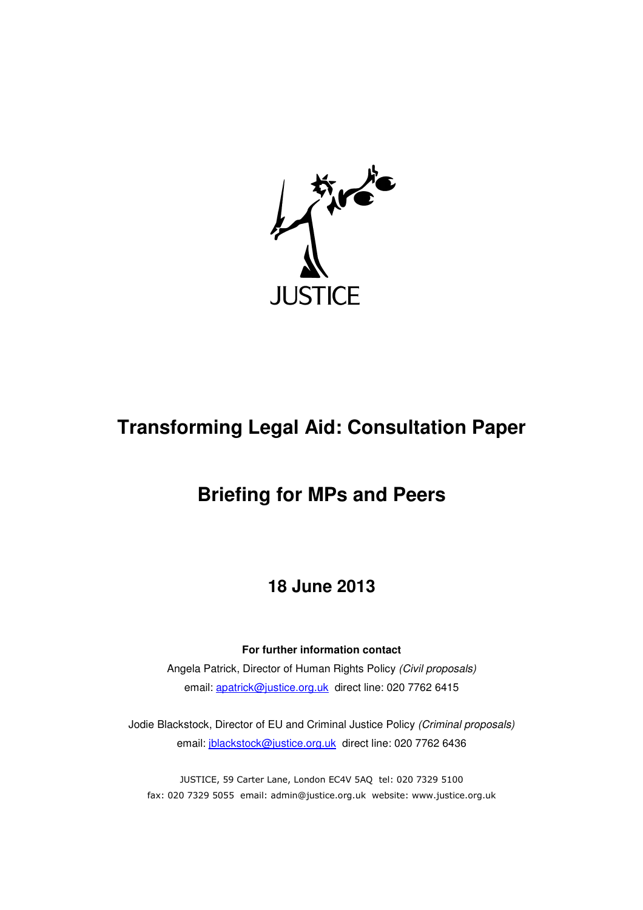

# **Transforming Legal Aid: Consultation Paper**

## **Briefing for MPs and Peers**

## **18 June 2013**

## **For further information contact**

Angela Patrick, Director of Human Rights Policy (Civil proposals) email: apatrick@justice.org.uk direct line: 020 7762 6415

Jodie Blackstock, Director of EU and Criminal Justice Policy (Criminal proposals) email: jblackstock@justice.org.uk direct line: 020 7762 6436

JUSTICE, 59 Carter Lane, London EC4V 5AQ tel: 020 7329 5100 fax: 020 7329 5055 email: admin@justice.org.uk website: www.justice.org.uk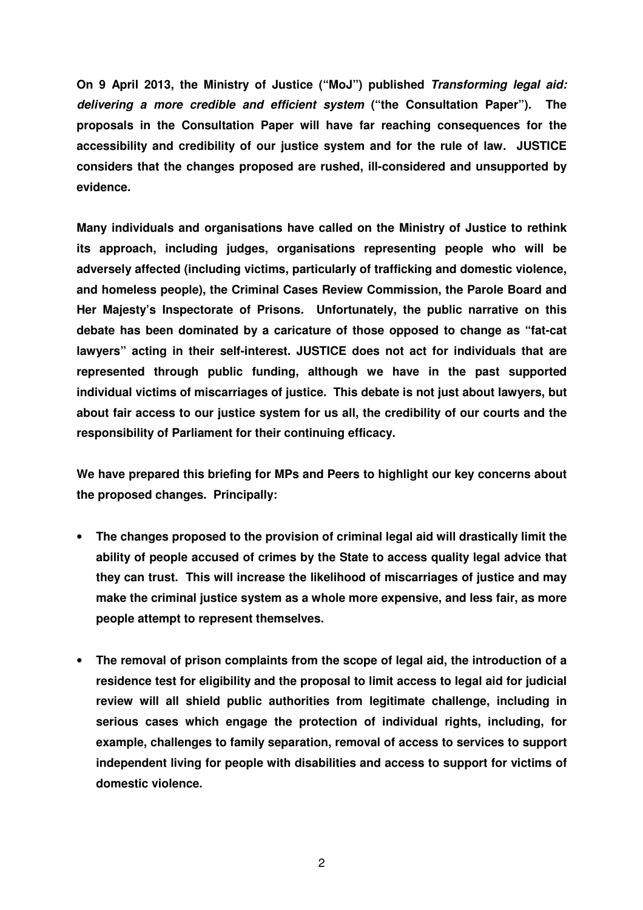**On 9 April 2013, the Ministry of Justice ("MoJ") published Transforming legal aid: delivering a more credible and efficient system ("the Consultation Paper"). The proposals in the Consultation Paper will have far reaching consequences for the accessibility and credibility of our justice system and for the rule of law. JUSTICE considers that the changes proposed are rushed, ill-considered and unsupported by evidence.** 

**Many individuals and organisations have called on the Ministry of Justice to rethink its approach, including judges, organisations representing people who will be adversely affected (including victims, particularly of trafficking and domestic violence, and homeless people), the Criminal Cases Review Commission, the Parole Board and Her Majesty's Inspectorate of Prisons. Unfortunately, the public narrative on this debate has been dominated by a caricature of those opposed to change as "fat-cat lawyers" acting in their self-interest. JUSTICE does not act for individuals that are represented through public funding, although we have in the past supported individual victims of miscarriages of justice. This debate is not just about lawyers, but about fair access to our justice system for us all, the credibility of our courts and the responsibility of Parliament for their continuing efficacy.** 

**We have prepared this briefing for MPs and Peers to highlight our key concerns about the proposed changes. Principally:** 

- **The changes proposed to the provision of criminal legal aid will drastically limit the ability of people accused of crimes by the State to access quality legal advice that they can trust. This will increase the likelihood of miscarriages of justice and may make the criminal justice system as a whole more expensive, and less fair, as more people attempt to represent themselves.**
- **The removal of prison complaints from the scope of legal aid, the introduction of a residence test for eligibility and the proposal to limit access to legal aid for judicial review will all shield public authorities from legitimate challenge, including in serious cases which engage the protection of individual rights, including, for example, challenges to family separation, removal of access to services to support independent living for people with disabilities and access to support for victims of domestic violence.**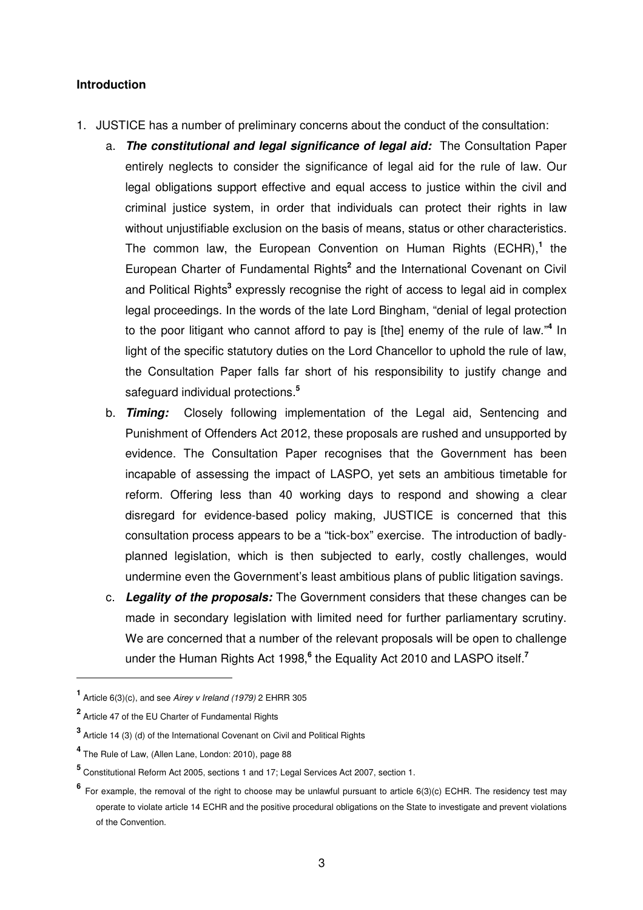#### **Introduction**

- 1. JUSTICE has a number of preliminary concerns about the conduct of the consultation:
	- a. **The constitutional and legal significance of legal aid:** The Consultation Paper entirely neglects to consider the significance of legal aid for the rule of law. Our legal obligations support effective and equal access to justice within the civil and criminal justice system, in order that individuals can protect their rights in law without unjustifiable exclusion on the basis of means, status or other characteristics. The common law, the European Convention on Human Rights (ECHR),**<sup>1</sup>** the European Charter of Fundamental Rights<sup>2</sup> and the International Covenant on Civil and Political Rights<sup>3</sup> expressly recognise the right of access to legal aid in complex legal proceedings. In the words of the late Lord Bingham, "denial of legal protection to the poor litigant who cannot afford to pay is [the] enemy of the rule of law."**<sup>4</sup>** In light of the specific statutory duties on the Lord Chancellor to uphold the rule of law, the Consultation Paper falls far short of his responsibility to justify change and safeguard individual protections.**<sup>5</sup>**
	- b. **Timing:** Closely following implementation of the Legal aid, Sentencing and Punishment of Offenders Act 2012, these proposals are rushed and unsupported by evidence. The Consultation Paper recognises that the Government has been incapable of assessing the impact of LASPO, yet sets an ambitious timetable for reform. Offering less than 40 working days to respond and showing a clear disregard for evidence-based policy making, JUSTICE is concerned that this consultation process appears to be a "tick-box" exercise. The introduction of badlyplanned legislation, which is then subjected to early, costly challenges, would undermine even the Government's least ambitious plans of public litigation savings.
	- c. **Legality of the proposals:** The Government considers that these changes can be made in secondary legislation with limited need for further parliamentary scrutiny. We are concerned that a number of the relevant proposals will be open to challenge under the Human Rights Act 1998,**<sup>6</sup>** the Equality Act 2010 and LASPO itself.**<sup>7</sup>**

**<sup>1</sup>** Article 6(3)(c), and see Airey v Ireland (1979) 2 EHRR 305

**<sup>2</sup>** Article 47 of the EU Charter of Fundamental Rights

**<sup>3</sup>** Article 14 (3) (d) of the International Covenant on Civil and Political Rights

**<sup>4</sup>** The Rule of Law, (Allen Lane, London: 2010), page 88

**<sup>5</sup>** Constitutional Reform Act 2005, sections 1 and 17; Legal Services Act 2007, section 1.

**<sup>6</sup>** For example, the removal of the right to choose may be unlawful pursuant to article 6(3)(c) ECHR. The residency test may operate to violate article 14 ECHR and the positive procedural obligations on the State to investigate and prevent violations of the Convention.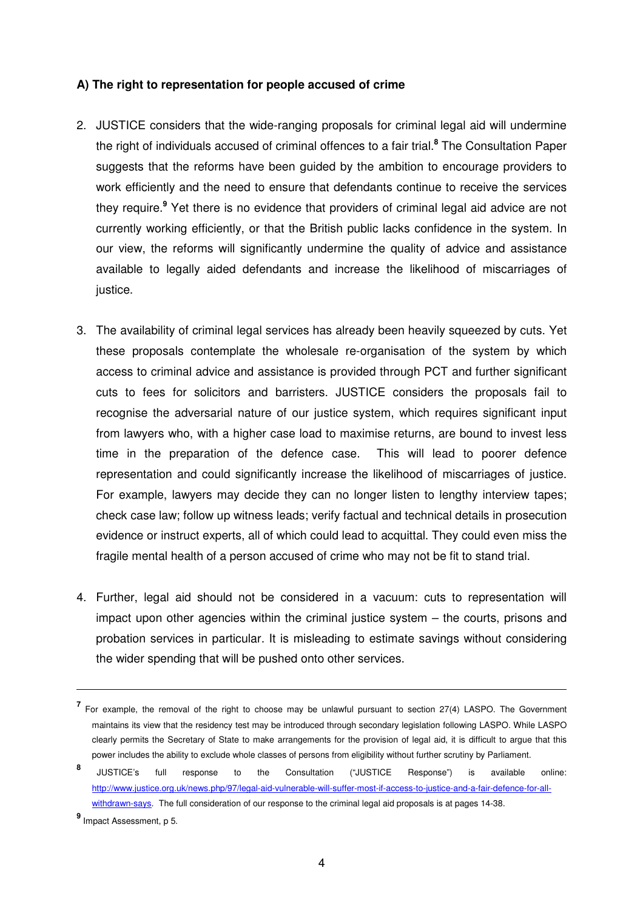#### **A) The right to representation for people accused of crime**

- 2. JUSTICE considers that the wide-ranging proposals for criminal legal aid will undermine the right of individuals accused of criminal offences to a fair trial.**<sup>8</sup>** The Consultation Paper suggests that the reforms have been guided by the ambition to encourage providers to work efficiently and the need to ensure that defendants continue to receive the services they require.**<sup>9</sup>** Yet there is no evidence that providers of criminal legal aid advice are not currently working efficiently, or that the British public lacks confidence in the system. In our view, the reforms will significantly undermine the quality of advice and assistance available to legally aided defendants and increase the likelihood of miscarriages of justice.
- 3. The availability of criminal legal services has already been heavily squeezed by cuts. Yet these proposals contemplate the wholesale re-organisation of the system by which access to criminal advice and assistance is provided through PCT and further significant cuts to fees for solicitors and barristers. JUSTICE considers the proposals fail to recognise the adversarial nature of our justice system, which requires significant input from lawyers who, with a higher case load to maximise returns, are bound to invest less time in the preparation of the defence case. This will lead to poorer defence representation and could significantly increase the likelihood of miscarriages of justice. For example, lawyers may decide they can no longer listen to lengthy interview tapes; check case law; follow up witness leads; verify factual and technical details in prosecution evidence or instruct experts, all of which could lead to acquittal. They could even miss the fragile mental health of a person accused of crime who may not be fit to stand trial.
- 4. Further, legal aid should not be considered in a vacuum: cuts to representation will impact upon other agencies within the criminal justice system – the courts, prisons and probation services in particular. It is misleading to estimate savings without considering the wider spending that will be pushed onto other services.

**<sup>7</sup>** For example, the removal of the right to choose may be unlawful pursuant to section 27(4) LASPO. The Government maintains its view that the residency test may be introduced through secondary legislation following LASPO. While LASPO clearly permits the Secretary of State to make arrangements for the provision of legal aid, it is difficult to argue that this power includes the ability to exclude whole classes of persons from eligibility without further scrutiny by Parliament.

**<sup>8</sup>** JUSTICE's full response to the Consultation ("JUSTICE Response") is available online: http://www.justice.org.uk/news.php/97/legal-aid-vulnerable-will-suffer-most-if-access-to-justice-and-a-fair-defence-for-allwithdrawn-says. The full consideration of our response to the criminal legal aid proposals is at pages 14-38.

**<sup>9</sup>** Impact Assessment, p 5.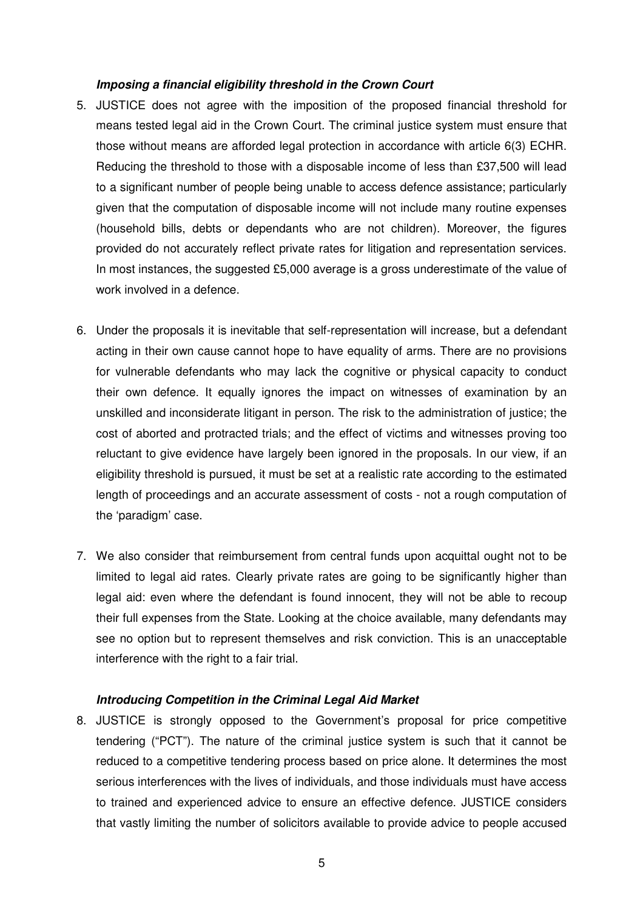#### **Imposing a financial eligibility threshold in the Crown Court**

- 5. JUSTICE does not agree with the imposition of the proposed financial threshold for means tested legal aid in the Crown Court. The criminal justice system must ensure that those without means are afforded legal protection in accordance with article 6(3) ECHR. Reducing the threshold to those with a disposable income of less than £37,500 will lead to a significant number of people being unable to access defence assistance; particularly given that the computation of disposable income will not include many routine expenses (household bills, debts or dependants who are not children). Moreover, the figures provided do not accurately reflect private rates for litigation and representation services. In most instances, the suggested £5,000 average is a gross underestimate of the value of work involved in a defence.
- 6. Under the proposals it is inevitable that self-representation will increase, but a defendant acting in their own cause cannot hope to have equality of arms. There are no provisions for vulnerable defendants who may lack the cognitive or physical capacity to conduct their own defence. It equally ignores the impact on witnesses of examination by an unskilled and inconsiderate litigant in person. The risk to the administration of justice; the cost of aborted and protracted trials; and the effect of victims and witnesses proving too reluctant to give evidence have largely been ignored in the proposals. In our view, if an eligibility threshold is pursued, it must be set at a realistic rate according to the estimated length of proceedings and an accurate assessment of costs - not a rough computation of the 'paradigm' case.
- 7. We also consider that reimbursement from central funds upon acquittal ought not to be limited to legal aid rates. Clearly private rates are going to be significantly higher than legal aid: even where the defendant is found innocent, they will not be able to recoup their full expenses from the State. Looking at the choice available, many defendants may see no option but to represent themselves and risk conviction. This is an unacceptable interference with the right to a fair trial.

## **Introducing Competition in the Criminal Legal Aid Market**

8. JUSTICE is strongly opposed to the Government's proposal for price competitive tendering ("PCT"). The nature of the criminal justice system is such that it cannot be reduced to a competitive tendering process based on price alone. It determines the most serious interferences with the lives of individuals, and those individuals must have access to trained and experienced advice to ensure an effective defence. JUSTICE considers that vastly limiting the number of solicitors available to provide advice to people accused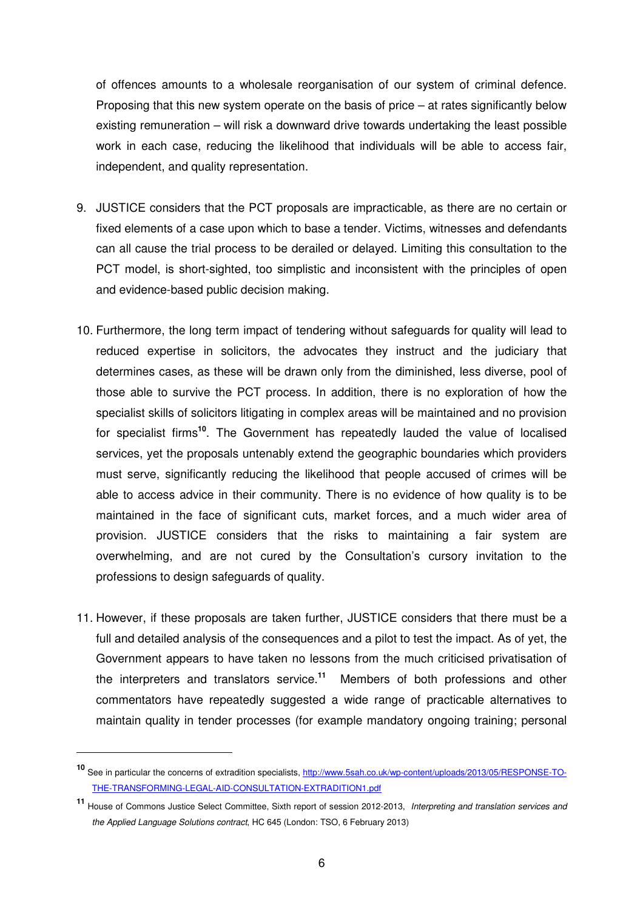of offences amounts to a wholesale reorganisation of our system of criminal defence. Proposing that this new system operate on the basis of price – at rates significantly below existing remuneration – will risk a downward drive towards undertaking the least possible work in each case, reducing the likelihood that individuals will be able to access fair, independent, and quality representation.

- 9. JUSTICE considers that the PCT proposals are impracticable, as there are no certain or fixed elements of a case upon which to base a tender. Victims, witnesses and defendants can all cause the trial process to be derailed or delayed. Limiting this consultation to the PCT model, is short-sighted, too simplistic and inconsistent with the principles of open and evidence-based public decision making.
- 10. Furthermore, the long term impact of tendering without safeguards for quality will lead to reduced expertise in solicitors, the advocates they instruct and the judiciary that determines cases, as these will be drawn only from the diminished, less diverse, pool of those able to survive the PCT process. In addition, there is no exploration of how the specialist skills of solicitors litigating in complex areas will be maintained and no provision for specialist firms**<sup>10</sup>**. The Government has repeatedly lauded the value of localised services, yet the proposals untenably extend the geographic boundaries which providers must serve, significantly reducing the likelihood that people accused of crimes will be able to access advice in their community. There is no evidence of how quality is to be maintained in the face of significant cuts, market forces, and a much wider area of provision. JUSTICE considers that the risks to maintaining a fair system are overwhelming, and are not cured by the Consultation's cursory invitation to the professions to design safeguards of quality.
- 11. However, if these proposals are taken further, JUSTICE considers that there must be a full and detailed analysis of the consequences and a pilot to test the impact. As of yet, the Government appears to have taken no lessons from the much criticised privatisation of the interpreters and translators service.**<sup>11</sup>** Members of both professions and other commentators have repeatedly suggested a wide range of practicable alternatives to maintain quality in tender processes (for example mandatory ongoing training; personal

**<sup>10</sup>** See in particular the concerns of extradition specialists, http://www.5sah.co.uk/wp-content/uploads/2013/05/RESPONSE-TO-THE-TRANSFORMING-LEGAL-AID-CONSULTATION-EXTRADITION1.pdf

**<sup>11</sup>** House of Commons Justice Select Committee, Sixth report of session 2012-2013, Interpreting and translation services and the Applied Language Solutions contract, HC 645 (London: TSO, 6 February 2013)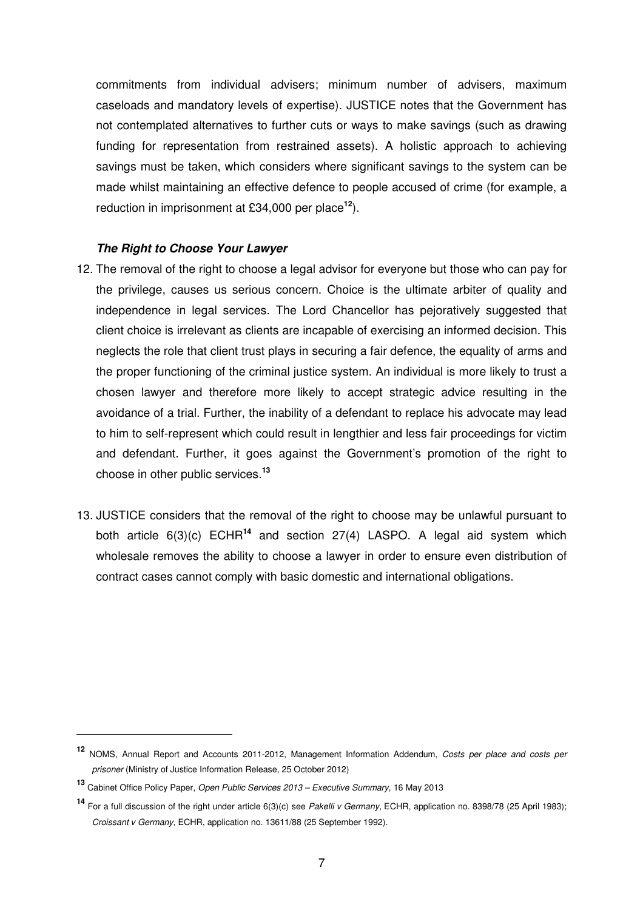commitments from individual advisers; minimum number of advisers, maximum caseloads and mandatory levels of expertise). JUSTICE notes that the Government has not contemplated alternatives to further cuts or ways to make savings (such as drawing funding for representation from restrained assets). A holistic approach to achieving savings must be taken, which considers where significant savings to the system can be made whilst maintaining an effective defence to people accused of crime (for example, a reduction in imprisonment at £34,000 per place**<sup>12</sup>**).

#### **The Right to Choose Your Lawyer**

- 12. The removal of the right to choose a legal advisor for everyone but those who can pay for the privilege, causes us serious concern. Choice is the ultimate arbiter of quality and independence in legal services. The Lord Chancellor has pejoratively suggested that client choice is irrelevant as clients are incapable of exercising an informed decision. This neglects the role that client trust plays in securing a fair defence, the equality of arms and the proper functioning of the criminal justice system. An individual is more likely to trust a chosen lawyer and therefore more likely to accept strategic advice resulting in the avoidance of a trial. Further, the inability of a defendant to replace his advocate may lead to him to self-represent which could result in lengthier and less fair proceedings for victim and defendant. Further, it goes against the Government's promotion of the right to choose in other public services.**<sup>13</sup>**
- 13. JUSTICE considers that the removal of the right to choose may be unlawful pursuant to both article 6(3)(c) ECHR**<sup>14</sup>** and section 27(4) LASPO. A legal aid system which wholesale removes the ability to choose a lawyer in order to ensure even distribution of contract cases cannot comply with basic domestic and international obligations.

**<sup>12</sup>** NOMS, Annual Report and Accounts 2011-2012, Management Information Addendum, Costs per place and costs per prisoner (Ministry of Justice Information Release, 25 October 2012)

**<sup>13</sup>** Cabinet Office Policy Paper, Open Public Services 2013 – Executive Summary, 16 May 2013

**<sup>14</sup>** For a full discussion of the right under article 6(3)(c) see Pakelli v Germany, ECHR, application no. 8398/78 (25 April 1983); Croissant v Germany, ECHR, application no. 13611/88 (25 September 1992).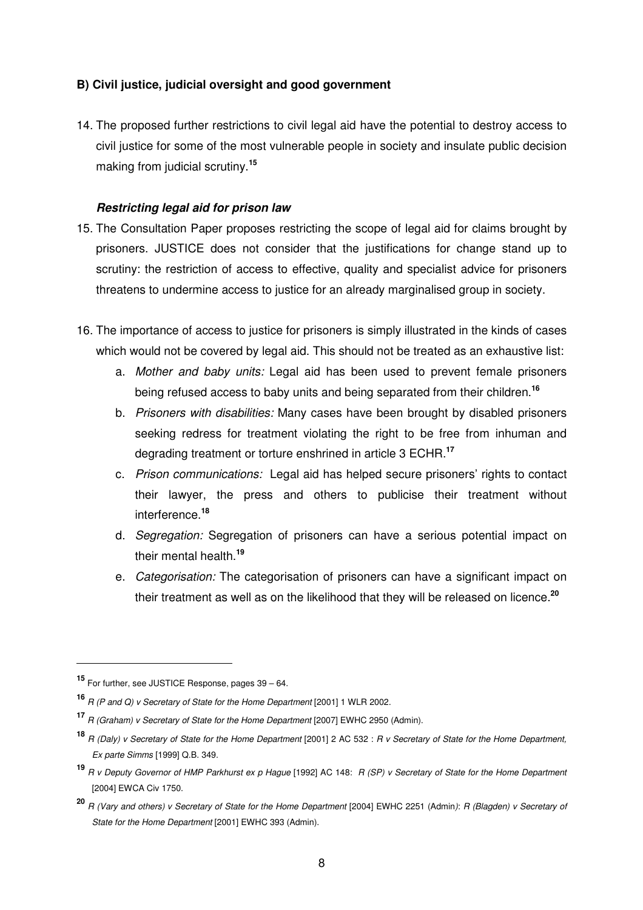## **B) Civil justice, judicial oversight and good government**

14. The proposed further restrictions to civil legal aid have the potential to destroy access to civil justice for some of the most vulnerable people in society and insulate public decision making from judicial scrutiny.**<sup>15</sup>**

## **Restricting legal aid for prison law**

- 15. The Consultation Paper proposes restricting the scope of legal aid for claims brought by prisoners. JUSTICE does not consider that the justifications for change stand up to scrutiny: the restriction of access to effective, quality and specialist advice for prisoners threatens to undermine access to justice for an already marginalised group in society.
- 16. The importance of access to justice for prisoners is simply illustrated in the kinds of cases which would not be covered by legal aid. This should not be treated as an exhaustive list:
	- a. Mother and baby units: Legal aid has been used to prevent female prisoners being refused access to baby units and being separated from their children.**<sup>16</sup>**
	- b. Prisoners with disabilities: Many cases have been brought by disabled prisoners seeking redress for treatment violating the right to be free from inhuman and degrading treatment or torture enshrined in article 3 ECHR.**<sup>17</sup>**
	- c. Prison communications: Legal aid has helped secure prisoners' rights to contact their lawyer, the press and others to publicise their treatment without interference.**<sup>18</sup>**
	- d. Segregation: Segregation of prisoners can have a serious potential impact on their mental health.**<sup>19</sup>**
	- e. Categorisation: The categorisation of prisoners can have a significant impact on their treatment as well as on the likelihood that they will be released on licence.**<sup>20</sup>**

**<sup>15</sup>** For further, see JUSTICE Response, pages 39 – 64.

**<sup>16</sup>** R (P and Q) v Secretary of State for the Home Department [2001] 1 WLR 2002.

**<sup>17</sup>** R (Graham) v Secretary of State for the Home Department [2007] EWHC 2950 (Admin).

**<sup>18</sup>** R (Daly) v Secretary of State for the Home Department [2001] 2 AC 532 : R v Secretary of State for the Home Department, Ex parte Simms [1999] Q.B. 349.

**<sup>19</sup>** R v Deputy Governor of HMP Parkhurst ex p Hague [1992] AC 148: R (SP) v Secretary of State for the Home Department [2004] EWCA Civ 1750.

**<sup>20</sup>** R (Vary and others) v Secretary of State for the Home Department [2004] EWHC 2251 (Admin): R (Blagden) v Secretary of State for the Home Department [2001] EWHC 393 (Admin).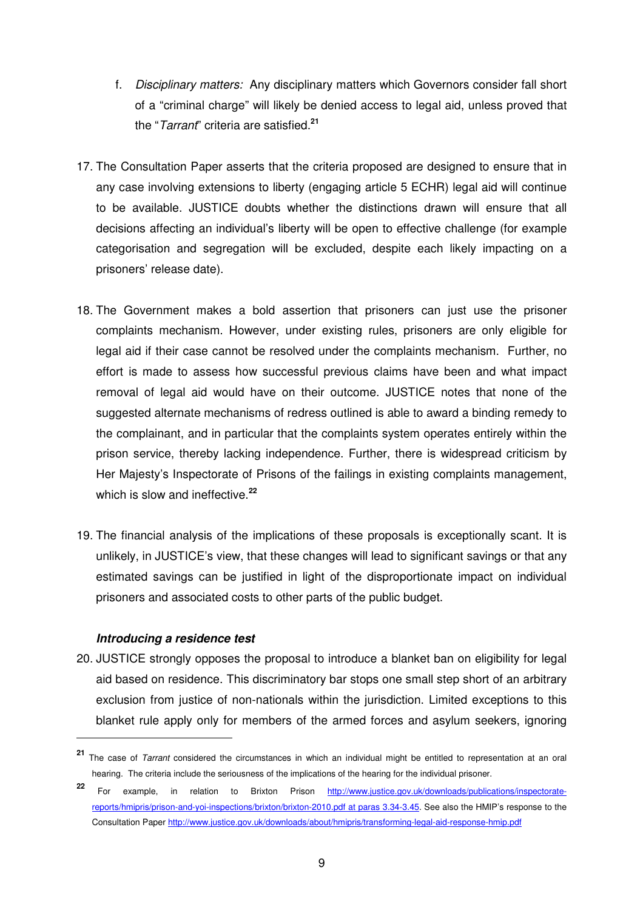- f. Disciplinary matters: Any disciplinary matters which Governors consider fall short of a "criminal charge" will likely be denied access to legal aid, unless proved that the "Tarrant" criteria are satisfied.**<sup>21</sup>**
- 17. The Consultation Paper asserts that the criteria proposed are designed to ensure that in any case involving extensions to liberty (engaging article 5 ECHR) legal aid will continue to be available. JUSTICE doubts whether the distinctions drawn will ensure that all decisions affecting an individual's liberty will be open to effective challenge (for example categorisation and segregation will be excluded, despite each likely impacting on a prisoners' release date).
- 18. The Government makes a bold assertion that prisoners can just use the prisoner complaints mechanism. However, under existing rules, prisoners are only eligible for legal aid if their case cannot be resolved under the complaints mechanism. Further, no effort is made to assess how successful previous claims have been and what impact removal of legal aid would have on their outcome. JUSTICE notes that none of the suggested alternate mechanisms of redress outlined is able to award a binding remedy to the complainant, and in particular that the complaints system operates entirely within the prison service, thereby lacking independence. Further, there is widespread criticism by Her Majesty's Inspectorate of Prisons of the failings in existing complaints management, which is slow and ineffective.**<sup>22</sup>**
- 19. The financial analysis of the implications of these proposals is exceptionally scant. It is unlikely, in JUSTICE's view, that these changes will lead to significant savings or that any estimated savings can be justified in light of the disproportionate impact on individual prisoners and associated costs to other parts of the public budget.

## **Introducing a residence test**

 $\overline{a}$ 

20. JUSTICE strongly opposes the proposal to introduce a blanket ban on eligibility for legal aid based on residence. This discriminatory bar stops one small step short of an arbitrary exclusion from justice of non-nationals within the jurisdiction. Limited exceptions to this blanket rule apply only for members of the armed forces and asylum seekers, ignoring

**<sup>21</sup>** The case of Tarrant considered the circumstances in which an individual might be entitled to representation at an oral hearing. The criteria include the seriousness of the implications of the hearing for the individual prisoner.

**<sup>22</sup>** For example, in relation to Brixton Prison http://www.justice.gov.uk/downloads/publications/inspectoratereports/hmipris/prison-and-yoi-inspections/brixton/brixton-2010.pdf at paras 3.34-3.45. See also the HMIP's response to the Consultation Paper http://www.justice.gov.uk/downloads/about/hmipris/transforming-legal-aid-response-hmip.pdf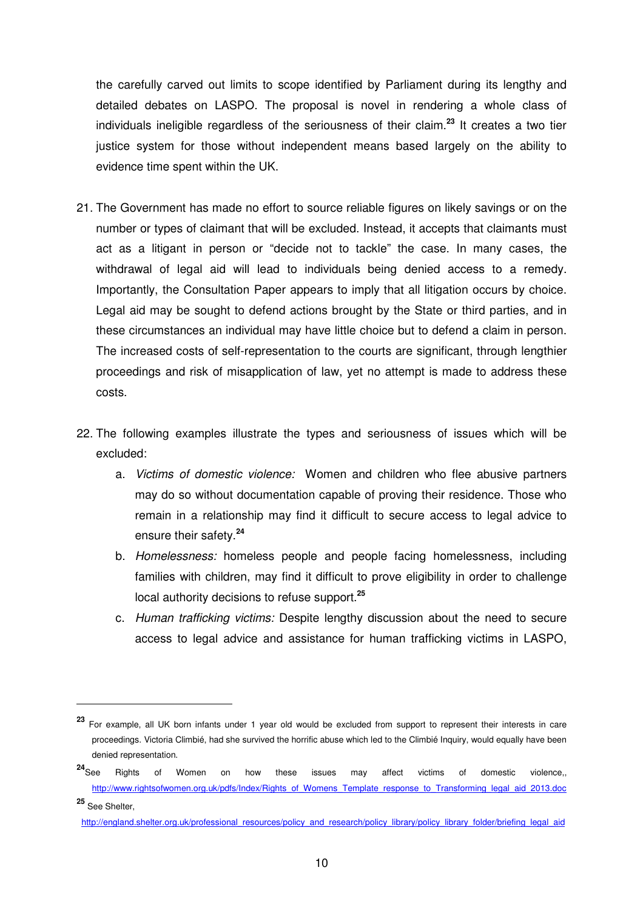the carefully carved out limits to scope identified by Parliament during its lengthy and detailed debates on LASPO. The proposal is novel in rendering a whole class of individuals ineligible regardless of the seriousness of their claim.**<sup>23</sup>** It creates a two tier justice system for those without independent means based largely on the ability to evidence time spent within the UK.

- 21. The Government has made no effort to source reliable figures on likely savings or on the number or types of claimant that will be excluded. Instead, it accepts that claimants must act as a litigant in person or "decide not to tackle" the case. In many cases, the withdrawal of legal aid will lead to individuals being denied access to a remedy. Importantly, the Consultation Paper appears to imply that all litigation occurs by choice. Legal aid may be sought to defend actions brought by the State or third parties, and in these circumstances an individual may have little choice but to defend a claim in person. The increased costs of self-representation to the courts are significant, through lengthier proceedings and risk of misapplication of law, yet no attempt is made to address these costs.
- 22. The following examples illustrate the types and seriousness of issues which will be excluded:
	- a. Victims of domestic violence: Women and children who flee abusive partners may do so without documentation capable of proving their residence. Those who remain in a relationship may find it difficult to secure access to legal advice to ensure their safety.**<sup>24</sup>**
	- b. Homelessness: homeless people and people facing homelessness, including families with children, may find it difficult to prove eligibility in order to challenge local authority decisions to refuse support.**<sup>25</sup>**
	- c. Human trafficking victims: Despite lengthy discussion about the need to secure access to legal advice and assistance for human trafficking victims in LASPO,

**<sup>23</sup>** For example, all UK born infants under 1 year old would be excluded from support to represent their interests in care proceedings. Victoria Climbié, had she survived the horrific abuse which led to the Climbié Inquiry, would equally have been denied representation.

**<sup>24</sup>**See Rights of Women on how these issues may affect victims of domestic violence,, http://www.rightsofwomen.org.uk/pdfs/Index/Rights\_of\_Womens\_Template\_response\_to\_Transforming\_legal\_aid\_2013.doc **<sup>25</sup>** See Shelter,

http://england.shelter.org.uk/professional\_resources/policy\_and\_research/policy\_library/policy\_library\_folder/briefing\_legal\_aid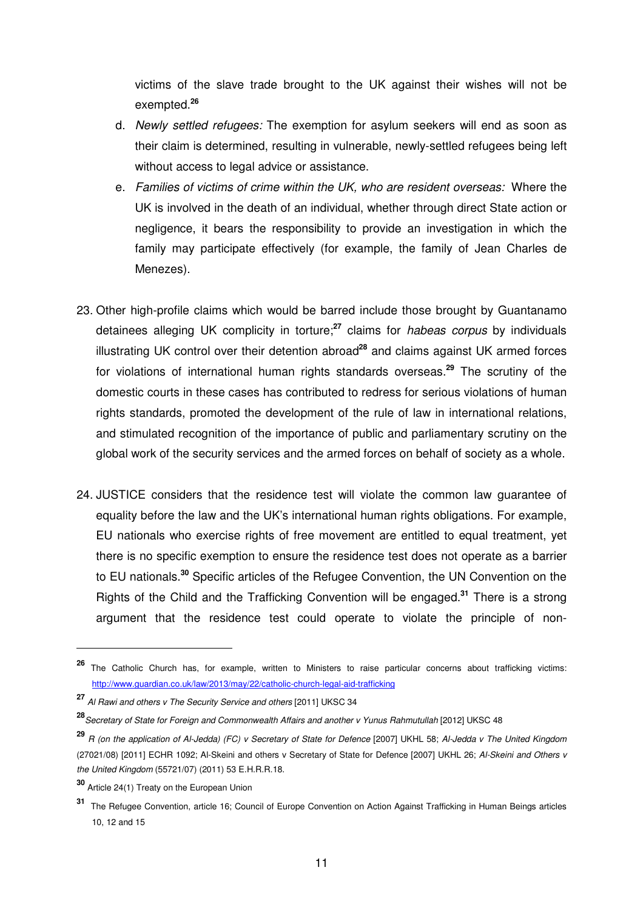victims of the slave trade brought to the UK against their wishes will not be exempted.**<sup>26</sup>**

- d. Newly settled refugees: The exemption for asylum seekers will end as soon as their claim is determined, resulting in vulnerable, newly-settled refugees being left without access to legal advice or assistance.
- e. Families of victims of crime within the UK, who are resident overseas: Where the UK is involved in the death of an individual, whether through direct State action or negligence, it bears the responsibility to provide an investigation in which the family may participate effectively (for example, the family of Jean Charles de Menezes).
- 23. Other high-profile claims which would be barred include those brought by Guantanamo detainees alleging UK complicity in torture;**<sup>27</sup>** claims for habeas corpus by individuals illustrating UK control over their detention abroad**<sup>28</sup>** and claims against UK armed forces for violations of international human rights standards overseas.**<sup>29</sup>** The scrutiny of the domestic courts in these cases has contributed to redress for serious violations of human rights standards, promoted the development of the rule of law in international relations, and stimulated recognition of the importance of public and parliamentary scrutiny on the global work of the security services and the armed forces on behalf of society as a whole.
- 24. JUSTICE considers that the residence test will violate the common law guarantee of equality before the law and the UK's international human rights obligations. For example, EU nationals who exercise rights of free movement are entitled to equal treatment, yet there is no specific exemption to ensure the residence test does not operate as a barrier to EU nationals.**<sup>30</sup>** Specific articles of the Refugee Convention, the UN Convention on the Rights of the Child and the Trafficking Convention will be engaged.**<sup>31</sup>** There is a strong argument that the residence test could operate to violate the principle of non-

**<sup>26</sup>** The Catholic Church has, for example, written to Ministers to raise particular concerns about trafficking victims: http://www.guardian.co.uk/law/2013/may/22/catholic-church-legal-aid-trafficking

**<sup>27</sup>** Al Rawi and others v The Security Service and others [2011] UKSC 34

**<sup>28</sup>**Secretary of State for Foreign and Commonwealth Affairs and another v Yunus Rahmutullah [2012] UKSC 48

**<sup>29</sup>** R (on the application of Al-Jedda) (FC) v Secretary of State for Defence [2007] UKHL 58; Al-Jedda v The United Kingdom (27021/08) [2011] ECHR 1092; Al-Skeini and others v Secretary of State for Defence [2007] UKHL 26; Al-Skeini and Others v the United Kingdom (55721/07) (2011) 53 E.H.R.R.18.

**<sup>30</sup>** Article 24(1) Treaty on the European Union

**<sup>31</sup>** The Refugee Convention, article 16; Council of Europe Convention on Action Against Trafficking in Human Beings articles 10, 12 and 15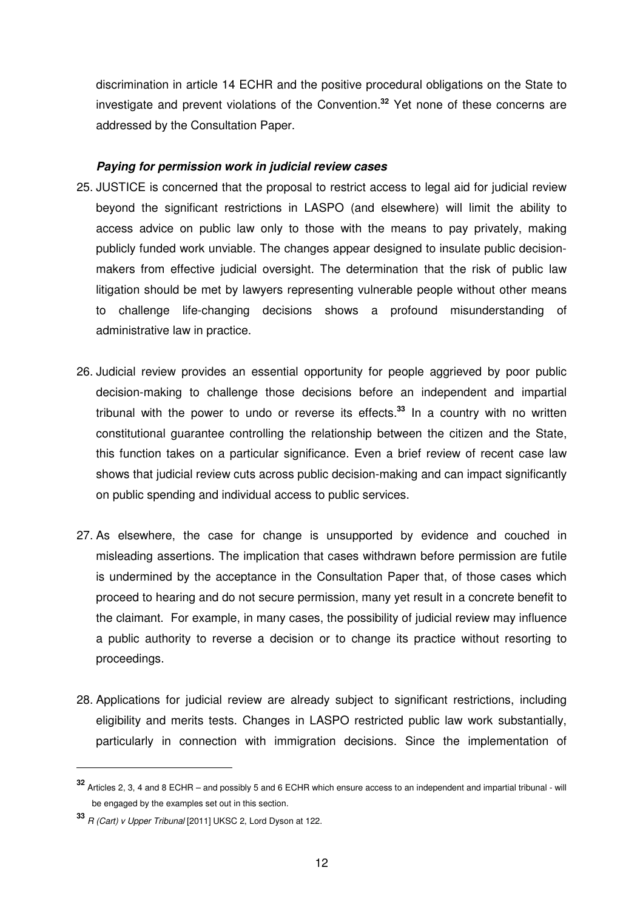discrimination in article 14 ECHR and the positive procedural obligations on the State to investigate and prevent violations of the Convention.**<sup>32</sup>** Yet none of these concerns are addressed by the Consultation Paper.

#### **Paying for permission work in judicial review cases**

- 25. JUSTICE is concerned that the proposal to restrict access to legal aid for judicial review beyond the significant restrictions in LASPO (and elsewhere) will limit the ability to access advice on public law only to those with the means to pay privately, making publicly funded work unviable. The changes appear designed to insulate public decisionmakers from effective judicial oversight. The determination that the risk of public law litigation should be met by lawyers representing vulnerable people without other means to challenge life-changing decisions shows a profound misunderstanding of administrative law in practice.
- 26. Judicial review provides an essential opportunity for people aggrieved by poor public decision-making to challenge those decisions before an independent and impartial tribunal with the power to undo or reverse its effects.**<sup>33</sup>** In a country with no written constitutional guarantee controlling the relationship between the citizen and the State, this function takes on a particular significance. Even a brief review of recent case law shows that judicial review cuts across public decision-making and can impact significantly on public spending and individual access to public services.
- 27. As elsewhere, the case for change is unsupported by evidence and couched in misleading assertions. The implication that cases withdrawn before permission are futile is undermined by the acceptance in the Consultation Paper that, of those cases which proceed to hearing and do not secure permission, many yet result in a concrete benefit to the claimant. For example, in many cases, the possibility of judicial review may influence a public authority to reverse a decision or to change its practice without resorting to proceedings.
- 28. Applications for judicial review are already subject to significant restrictions, including eligibility and merits tests. Changes in LASPO restricted public law work substantially, particularly in connection with immigration decisions. Since the implementation of

**<sup>32</sup>** Articles 2, 3, 4 and 8 ECHR – and possibly 5 and 6 ECHR which ensure access to an independent and impartial tribunal - will be engaged by the examples set out in this section.

**<sup>33</sup>** R (Cart) v Upper Tribunal [2011] UKSC 2, Lord Dyson at 122.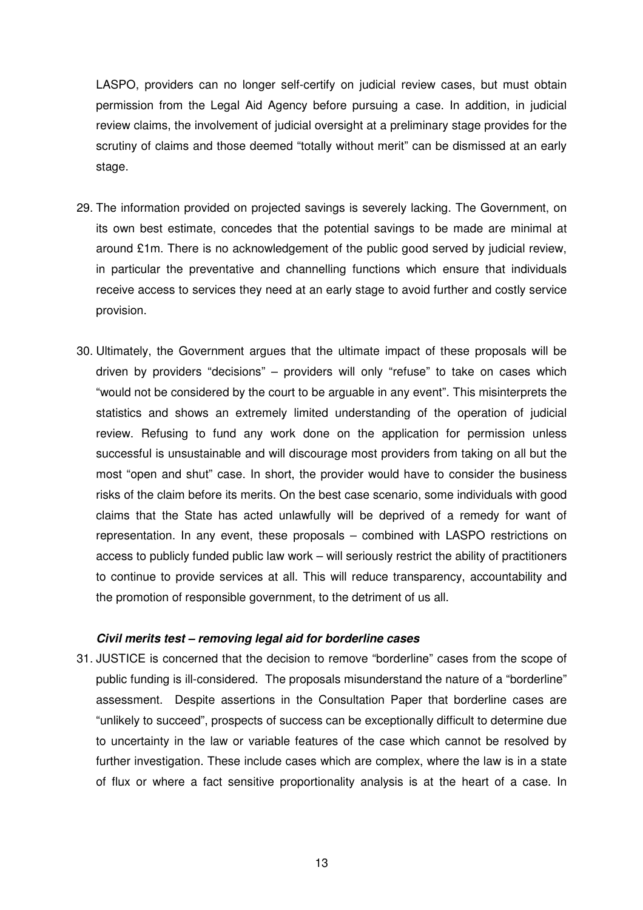LASPO, providers can no longer self-certify on judicial review cases, but must obtain permission from the Legal Aid Agency before pursuing a case. In addition, in judicial review claims, the involvement of judicial oversight at a preliminary stage provides for the scrutiny of claims and those deemed "totally without merit" can be dismissed at an early stage.

- 29. The information provided on projected savings is severely lacking. The Government, on its own best estimate, concedes that the potential savings to be made are minimal at around £1m. There is no acknowledgement of the public good served by judicial review, in particular the preventative and channelling functions which ensure that individuals receive access to services they need at an early stage to avoid further and costly service provision.
- 30. Ultimately, the Government argues that the ultimate impact of these proposals will be driven by providers "decisions" – providers will only "refuse" to take on cases which "would not be considered by the court to be arguable in any event". This misinterprets the statistics and shows an extremely limited understanding of the operation of judicial review. Refusing to fund any work done on the application for permission unless successful is unsustainable and will discourage most providers from taking on all but the most "open and shut" case. In short, the provider would have to consider the business risks of the claim before its merits. On the best case scenario, some individuals with good claims that the State has acted unlawfully will be deprived of a remedy for want of representation. In any event, these proposals – combined with LASPO restrictions on access to publicly funded public law work – will seriously restrict the ability of practitioners to continue to provide services at all. This will reduce transparency, accountability and the promotion of responsible government, to the detriment of us all.

#### **Civil merits test – removing legal aid for borderline cases**

31. JUSTICE is concerned that the decision to remove "borderline" cases from the scope of public funding is ill-considered. The proposals misunderstand the nature of a "borderline" assessment. Despite assertions in the Consultation Paper that borderline cases are "unlikely to succeed", prospects of success can be exceptionally difficult to determine due to uncertainty in the law or variable features of the case which cannot be resolved by further investigation. These include cases which are complex, where the law is in a state of flux or where a fact sensitive proportionality analysis is at the heart of a case. In